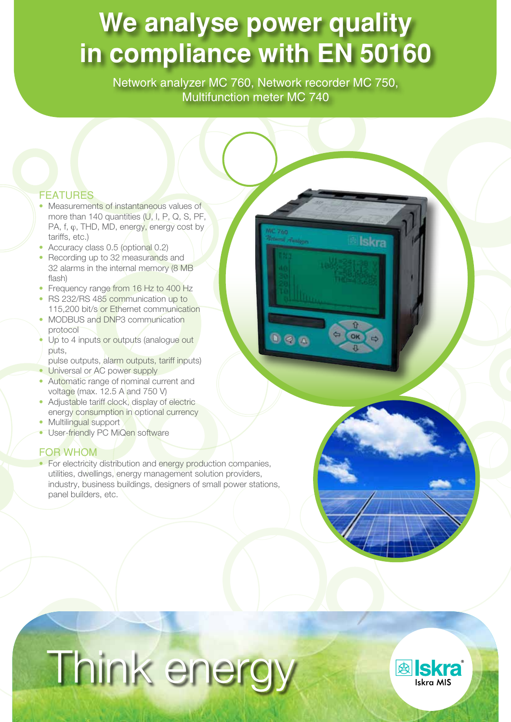# **We analyse power quality in compliance with EN 50160**

Network analyzer MC 760, Network recorder MC 750, Multifunction meter MC 740

 $0<sub>0</sub>$ 

Iskra

 $\ddot{\Phi}$ 

#### **FEATURES**

- Measurements of instantaneous values of more than 140 quantities (U, I, P, Q, S, PF, PA,  $f, \varphi$ , THD, MD, energy, energy cost by tariffs, etc.)
- Accuracy class 0.5 (optional 0.2)
- Recording up to 32 measurands and 32 alarms in the internal memory (8 MB flash)
- Frequency range from 16 Hz to 400 Hz • RS 232/RS 485 communication up to
- 115,200 bit/s or Ethernet communication • MODBUS and DNP3 communication
- protocol
- Up to 4 inputs or outputs (analogue out puts,
- pulse outputs, alarm outputs, tariff inputs)
- Universal or AC power supply
- Automatic range of nominal current and voltage (max. 12.5 A and 750 V)
- Adjustable tariff clock, display of electric energy consumption in optional currency
- Multilingual support
- User-friendly PC MiQen software

#### FOR WHOM

• For electricity distribution and energy production companies, utilities, dwellings, energy management solution providers, industry, business buildings, designers of small power stations, panel builders, etc.

# Think energy

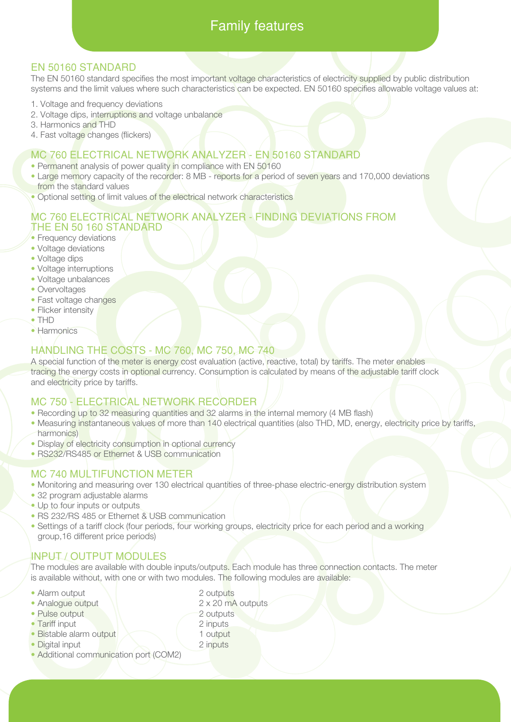# Family features

#### EN 50160 STANDARD

The EN 50160 standard specifies the most important voltage characteristics of electricity supplied by public distribution systems and the limit values where such characteristics can be expected. EN 50160 specifies allowable voltage values at:

- 1. Voltage and frequency deviations
- 2. Voltage dips, interruptions and voltage unbalance
- 3. Harmonics and THD
- 4. Fast voltage changes (flickers)

#### MC 760 ELECTRICAL NETWORK ANALYZER - EN 50160 STANDARD

- Permanent analysis of power quality in compliance with EN 50160
- Large memory capacity of the recorder: 8 MB reports for a period of seven years and 170,000 deviations from the standard values
- Optional setting of limit values of the electrical network characteristics

#### MC 760 ELECTRICAL NETWORK ANALYZER - FINDING DEVIATIONS FROM THE EN 50 160 STANDARD

- Frequency deviations
- Voltage deviations
- Voltage dips
- Voltage interruptions
- Voltage unbalances
- Overvoltages
- Fast voltage changes
- Flicker intensity
- THD
- Harmonics

#### HANDLING THE COSTS - MC 760, MC 750, MC 740

A special function of the meter is energy cost evaluation (active, reactive, total) by tariffs. The meter enables tracing the energy costs in optional currency. Consumption is calculated by means of the adjustable tariff clock and electricity price by tariffs.

#### MC 750 - ELECTRICAL NETWORK RECORDER

- Recording up to 32 measuring quantities and 32 alarms in the internal memory (4 MB flash)
- Measuring instantaneous values of more than 140 electrical quantities (also THD, MD, energy, electricity price by tariffs, harmonics)
- Display of electricity consumption in optional currency
- RS232/RS485 or Ethernet & USB communication

#### MC 740 MULTIFUNCTION METER

- Monitoring and measuring over 130 electrical quantities of three-phase electric-energy distribution system
- 32 program adjustable alarms
- Up to four inputs or outputs
- RS 232/RS 485 or Ethernet & USB communication
- Settings of a tariff clock (four periods, four working groups, electricity price for each period and a working group,16 different price periods)

#### INPUT / OUTPUT MODULES

The modules are available with double inputs/outputs. Each module has three connection contacts. The meter is available without, with one or with two modules. The following modules are available:

- Alarm output 2 outputs
- Analogue output 2 x 20 mA outputs
- Pulse output 2 outputs
- Tariff input 2 inputs
- Bistable alarm output 1 output
- Digital input 2 inputs
- Additional communication port (COM2)
- 
- 
- 
- 
- 
-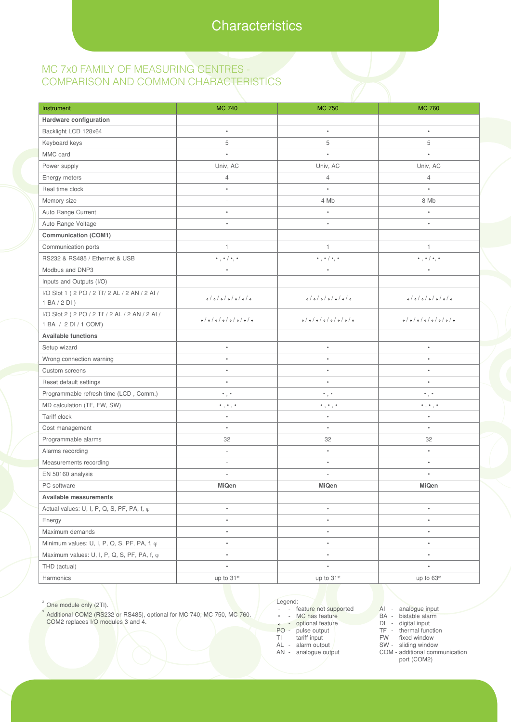#### MC 7x0 FAMILY OF MEASURING CENTRES - COMPARISON AND COMMON CHARACTERISTICS

| Instrument                                          | <b>MC 740</b>                        | <b>MC 750</b>                                 | <b>MC 760</b>                                 |
|-----------------------------------------------------|--------------------------------------|-----------------------------------------------|-----------------------------------------------|
| Hardware configuration                              |                                      |                                               |                                               |
| Backlight LCD 128x64                                | $\bullet$                            | $\bullet$                                     | $\bullet$                                     |
| Keyboard keys                                       | 5                                    | 5                                             | 5                                             |
| MMC card                                            | $\bullet$                            | $\bullet$                                     | $\bullet$                                     |
| Power supply                                        | Univ, AC                             | Univ, AC                                      | Univ, AC                                      |
| Energy meters                                       | 4                                    | $\overline{4}$                                | $\overline{4}$                                |
| Real time clock                                     | ٠                                    | $\bullet$                                     | $\bullet$                                     |
| Memory size                                         | $\sim$                               | 4 Mb                                          | 8 Mb                                          |
| Auto Range Current                                  |                                      | $\bullet$                                     |                                               |
| Auto Range Voltage                                  | ٠                                    | $\bullet$                                     | ٠                                             |
| Communication (COM1)                                |                                      |                                               |                                               |
| Communication ports                                 | 1                                    | $\mathbf{1}$                                  | $\mathbf{1}$                                  |
| RS232 & RS485 / Ethernet & USB                      | $*, * / *, *$                        | $\bullet$ , $\bullet$ / $\bullet$ , $\bullet$ | $\bullet$ , $\bullet$ / $\bullet$ , $\bullet$ |
| Modbus and DNP3                                     |                                      | $\bullet$                                     |                                               |
| Inputs and Outputs (I/O)                            |                                      |                                               |                                               |
| I/O Slot 1 ( 2 PO / 2 TI'/ 2 AL / 2 AN / 2 AI /     | 0/0/0/0/0/0                          | o/o/o/o/o                                     | o/o/o/o/o                                     |
| 1BA/2DI)                                            |                                      |                                               |                                               |
| I/O Slot 2 ( 2 PO / 2 TI' / 2 AL / 2 AN / 2 AI /    | o/o/o/o/o/o                          | o/o/o/o/o/o                                   | o/o/o/o/o/o                                   |
| 1 BA / 2 DI / 1 COM <sup>3</sup> )                  |                                      |                                               |                                               |
| <b>Available functions</b>                          |                                      |                                               |                                               |
| Setup wizard                                        | $\bullet$                            | $\bullet$                                     | $\bullet$                                     |
| Wrong connection warning                            |                                      |                                               |                                               |
| Custom screens                                      |                                      |                                               | ٠                                             |
| Reset default settings                              |                                      |                                               |                                               |
| Programmable refresh time (LCD, Comm.)              | $^{\circ}$ , $^{\circ}$              | $\bullet$ , $\bullet$                         | $\cdot$ , $\cdot$                             |
| MD calculation (TF, FW, SW)                         | $^{\circ}$ , $^{\circ}$ , $^{\circ}$ | $^{\circ}$ , $^{\circ}$ , $^{\circ}$          | $^{\bullet}$ , $^{\bullet}$ , $^{\bullet}$    |
| Tariff clock                                        | $\bullet$                            | $\bullet$                                     | $\bullet$                                     |
| Cost management                                     |                                      |                                               |                                               |
| Programmable alarms                                 | 32                                   | 32                                            | 32                                            |
| Alarms recording                                    | ×.                                   | $\bullet$                                     | $\bullet$                                     |
| Measurements recording                              | $\sim$                               | $\bullet$                                     | $\bullet$                                     |
| EN 50160 analysis                                   |                                      |                                               |                                               |
| PC software                                         | MiQen                                | MiQen                                         | MiQen                                         |
| Available measurements                              |                                      |                                               |                                               |
| Actual values: U, I, P, Q, S, PF, PA, f, $\varphi$  | ٠                                    | $\bullet$                                     | $\bullet$                                     |
| Energy                                              | ٠                                    | ٠                                             | $\bullet$                                     |
| Maximum demands                                     | $\bullet$                            | $\bullet$                                     | $\bullet$                                     |
| Minimum values: U, I, P, Q, S, PF, PA, f, $\varphi$ | $\bullet$                            | ٠                                             | $\bullet$                                     |
| Maximum values: U, I, P, Q, S, PF, PA, f, $\varphi$ | $\bullet$                            | $\bullet$                                     | $\bullet$                                     |
| THD (actual)                                        | $\bullet$                            | ٠                                             | $\bullet$                                     |
| Harmonics                                           | up to 31 <sup>st</sup>               | up to 31 <sup>st</sup>                        | up to 63rd                                    |

<sup>2</sup> One module only (2TI).

<sup>3</sup> Additional COM2 (RS232 or RS485), optional for MC 740, MC 750, MC 760. COM2 replaces I/O modules 3 and 4.

- Legend:
- - feature not supported<br>• MC has feature
- MC has feature
- optional feature
- PO pulse output TI - tariff input
- AL alarm output
- AN analogue output
- AI analogue input
- BA bistable alarm
- DI digital input<br>TF thermal func thermal function
- FW fixed window
- SW sliding window
- COM additional communication port (COM2)